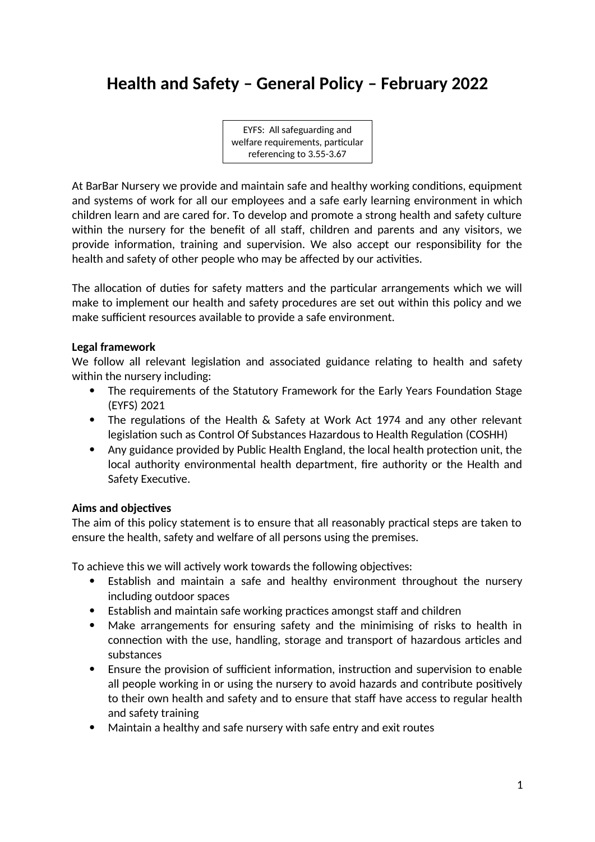# **Health and Safety – General Policy – February 2022**

EYFS: All safeguarding and welfare requirements, particular referencing to 3.55-3.67

At BarBar Nursery we provide and maintain safe and healthy working conditions, equipment and systems of work for all our employees and a safe early learning environment in which children learn and are cared for. To develop and promote a strong health and safety culture within the nursery for the benefit of all staff, children and parents and any visitors, we provide information, training and supervision. We also accept our responsibility for the health and safety of other people who may be affected by our activities.

The allocation of duties for safety matters and the particular arrangements which we will make to implement our health and safety procedures are set out within this policy and we make sufficient resources available to provide a safe environment.

#### **Legal framework**

We follow all relevant legislation and associated guidance relating to health and safety within the nursery including:

- The requirements of the Statutory Framework for the Early Years Foundation Stage (EYFS) 2021
- The regulations of the Health & Safety at Work Act 1974 and any other relevant legislation such as Control Of Substances Hazardous to Health Regulation (COSHH)
- Any guidance provided by Public Health England, the local health protection unit, the local authority environmental health department, fire authority or the Health and Safety Executive.

## **Aims and objectives**

The aim of this policy statement is to ensure that all reasonably practical steps are taken to ensure the health, safety and welfare of all persons using the premises.

To achieve this we will actively work towards the following objectives:

- Establish and maintain a safe and healthy environment throughout the nursery including outdoor spaces
- Establish and maintain safe working practices amongst staff and children
- Make arrangements for ensuring safety and the minimising of risks to health in connection with the use, handling, storage and transport of hazardous articles and substances
- Ensure the provision of sufficient information, instruction and supervision to enable all people working in or using the nursery to avoid hazards and contribute positively to their own health and safety and to ensure that staff have access to regular health and safety training
- Maintain a healthy and safe nursery with safe entry and exit routes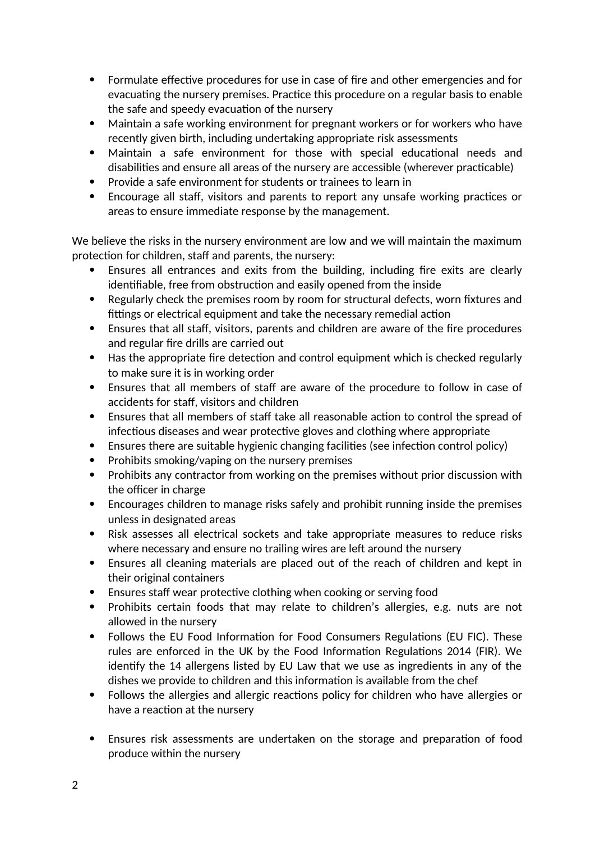- Formulate effective procedures for use in case of fire and other emergencies and for evacuating the nursery premises. Practice this procedure on a regular basis to enable the safe and speedy evacuation of the nursery
- Maintain a safe working environment for pregnant workers or for workers who have recently given birth, including undertaking appropriate risk assessments
- Maintain a safe environment for those with special educational needs and disabilities and ensure all areas of the nursery are accessible (wherever practicable)
- Provide a safe environment for students or trainees to learn in
- Encourage all staff, visitors and parents to report any unsafe working practices or areas to ensure immediate response by the management.

We believe the risks in the nursery environment are low and we will maintain the maximum protection for children, staff and parents, the nursery:

- Ensures all entrances and exits from the building, including fire exits are clearly identifiable, free from obstruction and easily opened from the inside
- Regularly check the premises room by room for structural defects, worn fixtures and fittings or electrical equipment and take the necessary remedial action
- Ensures that all staff, visitors, parents and children are aware of the fire procedures and regular fire drills are carried out
- Has the appropriate fire detection and control equipment which is checked regularly to make sure it is in working order
- Ensures that all members of staff are aware of the procedure to follow in case of accidents for staff, visitors and children
- Ensures that all members of staff take all reasonable action to control the spread of infectious diseases and wear protective gloves and clothing where appropriate
- Ensures there are suitable hygienic changing facilities (see infection control policy)
- Prohibits smoking/vaping on the nursery premises
- Prohibits any contractor from working on the premises without prior discussion with the officer in charge
- Encourages children to manage risks safely and prohibit running inside the premises unless in designated areas
- Risk assesses all electrical sockets and take appropriate measures to reduce risks where necessary and ensure no trailing wires are left around the nursery
- Ensures all cleaning materials are placed out of the reach of children and kept in their original containers
- Ensures staff wear protective clothing when cooking or serving food
- Prohibits certain foods that may relate to children's allergies, e.g. nuts are not allowed in the nursery
- Follows the EU Food Information for Food Consumers Regulations (EU FIC). These rules are enforced in the UK by the Food Information Regulations 2014 (FIR). We identify the 14 allergens listed by EU Law that we use as ingredients in any of the dishes we provide to children and this information is available from the chef
- Follows the allergies and allergic reactions policy for children who have allergies or have a reaction at the nursery
- Ensures risk assessments are undertaken on the storage and preparation of food produce within the nursery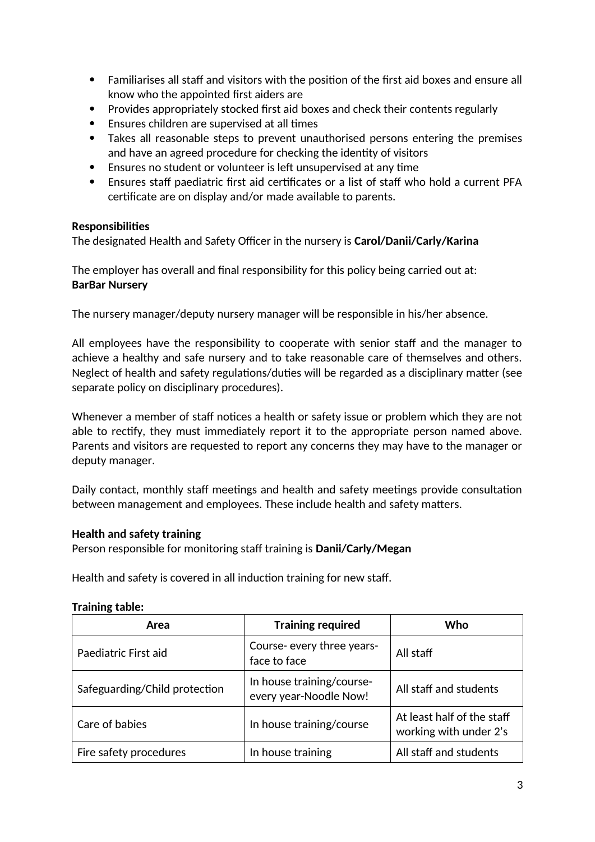- Familiarises all staff and visitors with the position of the first aid boxes and ensure all know who the appointed first aiders are
- Provides appropriately stocked first aid boxes and check their contents regularly
- Ensures children are supervised at all times
- Takes all reasonable steps to prevent unauthorised persons entering the premises and have an agreed procedure for checking the identity of visitors
- Ensures no student or volunteer is left unsupervised at any time
- Ensures staff paediatric first aid certificates or a list of staff who hold a current PFA certificate are on display and/or made available to parents.

## **Responsibilities**

The designated Health and Safety Officer in the nursery is **Carol/Danii/Carly/Karina**

The employer has overall and final responsibility for this policy being carried out at: **BarBar Nursery**

The nursery manager/deputy nursery manager will be responsible in his/her absence.

All employees have the responsibility to cooperate with senior staff and the manager to achieve a healthy and safe nursery and to take reasonable care of themselves and others. Neglect of health and safety regulations/duties will be regarded as a disciplinary matter (see separate policy on disciplinary procedures).

Whenever a member of staff notices a health or safety issue or problem which they are not able to rectify, they must immediately report it to the appropriate person named above. Parents and visitors are requested to report any concerns they may have to the manager or deputy manager.

Daily contact, monthly staff meetings and health and safety meetings provide consultation between management and employees. These include health and safety matters.

## **Health and safety training**

Person responsible for monitoring staff training is **Danii/Carly/Megan**

Health and safety is covered in all induction training for new staff.

| Area                          | <b>Training required</b>                            | Who                                                  |
|-------------------------------|-----------------------------------------------------|------------------------------------------------------|
| Paediatric First aid          | Course- every three years-<br>face to face          | All staff                                            |
| Safeguarding/Child protection | In house training/course-<br>every year-Noodle Now! | All staff and students                               |
| Care of babies                | In house training/course                            | At least half of the staff<br>working with under 2's |
| Fire safety procedures        | In house training                                   | All staff and students                               |

#### **Training table:**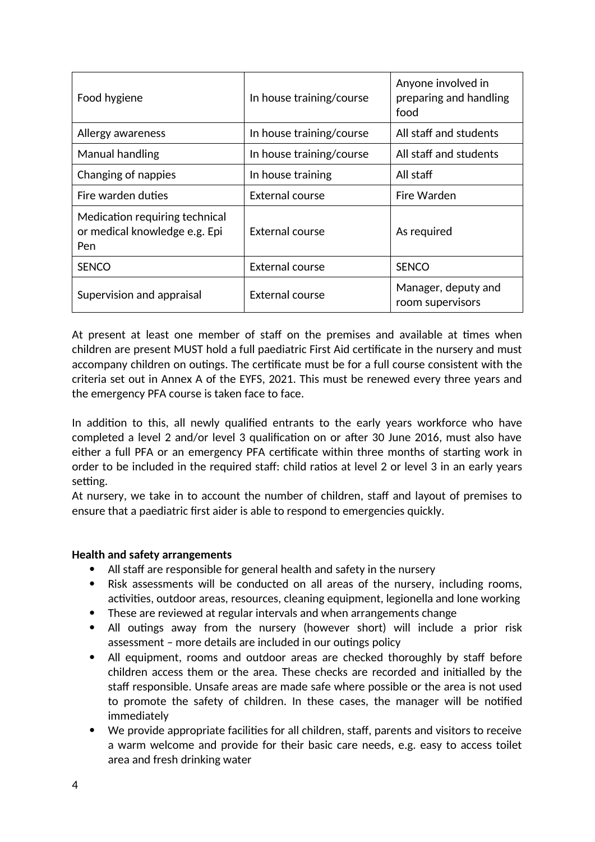| Food hygiene                                                           | In house training/course | Anyone involved in<br>preparing and handling<br>food |
|------------------------------------------------------------------------|--------------------------|------------------------------------------------------|
| Allergy awareness                                                      | In house training/course | All staff and students                               |
| Manual handling                                                        | In house training/course | All staff and students                               |
| Changing of nappies                                                    | In house training        | All staff                                            |
| Fire warden duties                                                     | External course          | Fire Warden                                          |
| Medication requiring technical<br>or medical knowledge e.g. Epi<br>Pen | External course          | As required                                          |
| <b>SENCO</b>                                                           | <b>External course</b>   | <b>SENCO</b>                                         |
| Supervision and appraisal                                              | External course          | Manager, deputy and<br>room supervisors              |

At present at least one member of staff on the premises and available at times when children are present MUST hold a full paediatric First Aid certificate in the nursery and must accompany children on outings. The certificate must be for a full course consistent with the criteria set out in Annex A of the EYFS, 2021. This must be renewed every three years and the emergency PFA course is taken face to face.

In addition to this, all newly qualified entrants to the early years workforce who have completed a level 2 and/or level 3 qualification on or after 30 June 2016, must also have either a full PFA or an emergency PFA certificate within three months of starting work in order to be included in the required staff: child ratios at level 2 or level 3 in an early years setting.

At nursery, we take in to account the number of children, staff and layout of premises to ensure that a paediatric first aider is able to respond to emergencies quickly.

#### **Health and safety arrangements**

- All staff are responsible for general health and safety in the nursery
- Risk assessments will be conducted on all areas of the nursery, including rooms, activities, outdoor areas, resources, cleaning equipment, legionella and lone working
- These are reviewed at regular intervals and when arrangements change
- All outings away from the nursery (however short) will include a prior risk assessment – more details are included in our outings policy
- All equipment, rooms and outdoor areas are checked thoroughly by staff before children access them or the area. These checks are recorded and initialled by the staff responsible. Unsafe areas are made safe where possible or the area is not used to promote the safety of children. In these cases, the manager will be notified immediately
- We provide appropriate facilities for all children, staff, parents and visitors to receive a warm welcome and provide for their basic care needs, e.g. easy to access toilet area and fresh drinking water